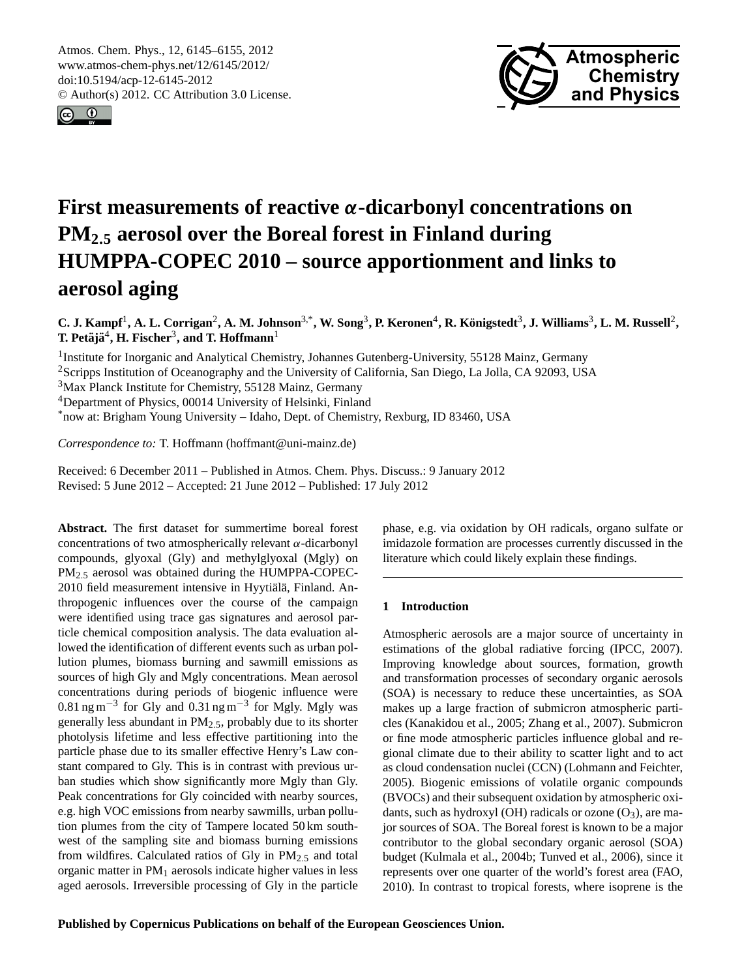<span id="page-0-0"></span>Atmos. Chem. Phys., 12, 6145–6155, 2012 www.atmos-chem-phys.net/12/6145/2012/ doi:10.5194/acp-12-6145-2012 © Author(s) 2012. CC Attribution 3.0 License.





# **First measurements of reactive** α**-dicarbonyl concentrations on PM<sup>2</sup>**.**<sup>5</sup> aerosol over the Boreal forest in Finland during HUMPPA-COPEC 2010 – source apportionment and links to aerosol aging**

C. J. Kampf<sup>1</sup>, A. L. Corrigan<sup>2</sup>, A. M. Johnson<sup>3,\*</sup>, W. Song<sup>3</sup>, P. Keronen<sup>4</sup>, R. Königstedt<sup>3</sup>, J. Williams<sup>3</sup>, L. M. Russell<sup>2</sup>, **T.** Petäjä $^4$ , **H.** Fischer $^3$ , and **T.** Hoffmann $^1$ 

<sup>1</sup> Institute for Inorganic and Analytical Chemistry, Johannes Gutenberg-University, 55128 Mainz, Germany <sup>2</sup>Scripps Institution of Oceanography and the University of California, San Diego, La Jolla, CA 92093, USA <sup>3</sup>Max Planck Institute for Chemistry, 55128 Mainz, Germany <sup>4</sup>Department of Physics, 00014 University of Helsinki, Finland \*now at: Brigham Young University – Idaho, Dept. of Chemistry, Rexburg, ID 83460, USA

*Correspondence to:* T. Hoffmann (hoffmant@uni-mainz.de)

Received: 6 December 2011 – Published in Atmos. Chem. Phys. Discuss.: 9 January 2012 Revised: 5 June 2012 – Accepted: 21 June 2012 – Published: 17 July 2012

**Abstract.** The first dataset for summertime boreal forest concentrations of two atmospherically relevant  $\alpha$ -dicarbonyl compounds, glyoxal (Gly) and methylglyoxal (Mgly) on PM2.<sup>5</sup> aerosol was obtained during the HUMPPA-COPEC-2010 field measurement intensive in Hyytiälä, Finland. Anthropogenic influences over the course of the campaign were identified using trace gas signatures and aerosol particle chemical composition analysis. The data evaluation allowed the identification of different events such as urban pollution plumes, biomass burning and sawmill emissions as sources of high Gly and Mgly concentrations. Mean aerosol concentrations during periods of biogenic influence were 0.81 ng m<sup>-3</sup> for Gly and 0.31 ng m<sup>-3</sup> for Mgly. Mgly was generally less abundant in  $PM<sub>2.5</sub>$ , probably due to its shorter photolysis lifetime and less effective partitioning into the particle phase due to its smaller effective Henry's Law constant compared to Gly. This is in contrast with previous urban studies which show significantly more Mgly than Gly. Peak concentrations for Gly coincided with nearby sources, e.g. high VOC emissions from nearby sawmills, urban pollution plumes from the city of Tampere located 50 km southwest of the sampling site and biomass burning emissions from wildfires. Calculated ratios of Gly in  $PM_{2.5}$  and total organic matter in  $PM_1$  aerosols indicate higher values in less aged aerosols. Irreversible processing of Gly in the particle

phase, e.g. via oxidation by OH radicals, organo sulfate or imidazole formation are processes currently discussed in the literature which could likely explain these findings.

# **1 Introduction**

Atmospheric aerosols are a major source of uncertainty in estimations of the global radiative forcing (IPCC, 2007). Improving knowledge about sources, formation, growth and transformation processes of secondary organic aerosols (SOA) is necessary to reduce these uncertainties, as SOA makes up a large fraction of submicron atmospheric particles (Kanakidou et al., 2005; Zhang et al., 2007). Submicron or fine mode atmospheric particles influence global and regional climate due to their ability to scatter light and to act as cloud condensation nuclei (CCN) (Lohmann and Feichter, 2005). Biogenic emissions of volatile organic compounds (BVOCs) and their subsequent oxidation by atmospheric oxidants, such as hydroxyl (OH) radicals or ozone  $(O_3)$ , are major sources of SOA. The Boreal forest is known to be a major contributor to the global secondary organic aerosol (SOA) budget (Kulmala et al., 2004b; Tunved et al., 2006), since it represents over one quarter of the world's forest area (FAO, 2010). In contrast to tropical forests, where isoprene is the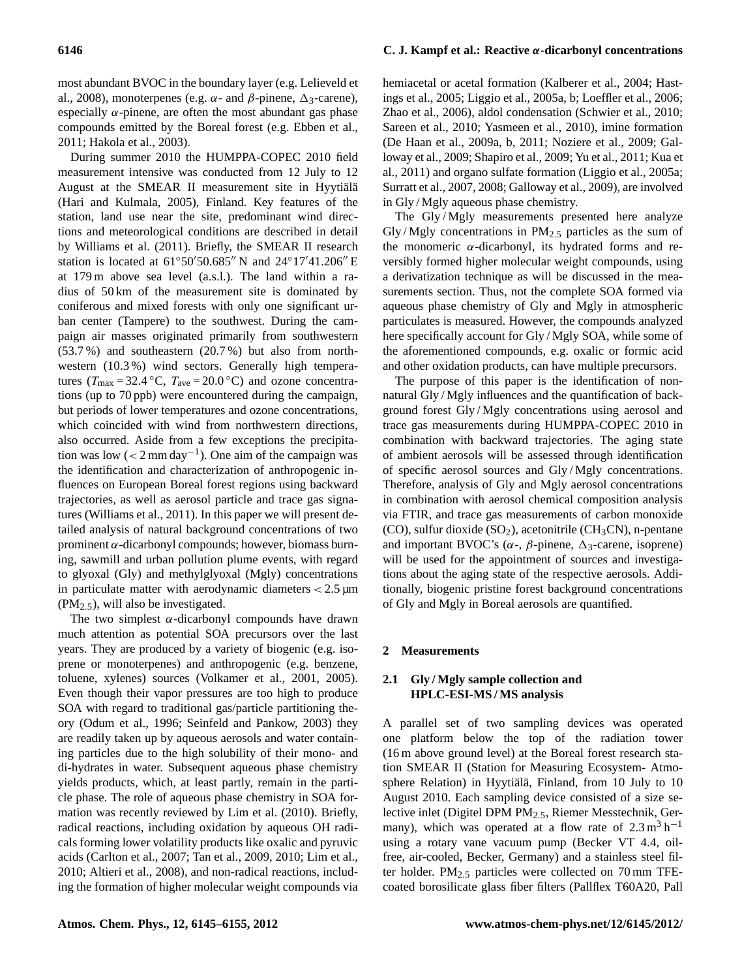most abundant BVOC in the boundary layer (e.g. Lelieveld et al., 2008), monoterpenes (e.g.  $\alpha$ - and  $\beta$ -pinene,  $\Delta$ <sub>3</sub>-carene), especially  $\alpha$ -pinene, are often the most abundant gas phase compounds emitted by the Boreal forest (e.g. Ebben et al., 2011; Hakola et al., 2003).

During summer 2010 the HUMPPA-COPEC 2010 field measurement intensive was conducted from 12 July to 12 August at the SMEAR II measurement site in Hyytiälä (Hari and Kulmala, 2005), Finland. Key features of the station, land use near the site, predominant wind directions and meteorological conditions are described in detail by Williams et al. (2011). Briefly, the SMEAR II research station is located at  $61°50'50.685''$  N and  $24°17'41.206''$  E at 179 m above sea level (a.s.l.). The land within a radius of 50 km of the measurement site is dominated by coniferous and mixed forests with only one significant urban center (Tampere) to the southwest. During the campaign air masses originated primarily from southwestern (53.7 %) and southeastern (20.7 %) but also from northwestern (10.3 %) wind sectors. Generally high temperatures ( $T_{\text{max}} = 32.4 \text{ °C}$ ,  $T_{\text{ave}} = 20.0 \text{ °C}$ ) and ozone concentrations (up to 70 ppb) were encountered during the campaign, but periods of lower temperatures and ozone concentrations, which coincided with wind from northwestern directions, also occurred. Aside from a few exceptions the precipitation was low  $(< 2 \text{ mm day}^{-1})$ . One aim of the campaign was the identification and characterization of anthropogenic influences on European Boreal forest regions using backward trajectories, as well as aerosol particle and trace gas signatures (Williams et al., 2011). In this paper we will present detailed analysis of natural background concentrations of two prominent  $\alpha$ -dicarbonyl compounds; however, biomass burning, sawmill and urban pollution plume events, with regard to glyoxal (Gly) and methylglyoxal (Mgly) concentrations in particulate matter with aerodynamic diameters  $< 2.5 \,\mathrm{\mu m}$  $(PM<sub>2.5</sub>)$ , will also be investigated.

The two simplest  $\alpha$ -dicarbonyl compounds have drawn much attention as potential SOA precursors over the last years. They are produced by a variety of biogenic (e.g. isoprene or monoterpenes) and anthropogenic (e.g. benzene, toluene, xylenes) sources (Volkamer et al., 2001, 2005). Even though their vapor pressures are too high to produce SOA with regard to traditional gas/particle partitioning theory (Odum et al., 1996; Seinfeld and Pankow, 2003) they are readily taken up by aqueous aerosols and water containing particles due to the high solubility of their mono- and di-hydrates in water. Subsequent aqueous phase chemistry yields products, which, at least partly, remain in the particle phase. The role of aqueous phase chemistry in SOA formation was recently reviewed by Lim et al. (2010). Briefly, radical reactions, including oxidation by aqueous OH radicals forming lower volatility products like oxalic and pyruvic acids (Carlton et al., 2007; Tan et al., 2009, 2010; Lim et al., 2010; Altieri et al., 2008), and non-radical reactions, including the formation of higher molecular weight compounds via hemiacetal or acetal formation (Kalberer et al., 2004; Hastings et al., 2005; Liggio et al., 2005a, b; Loeffler et al., 2006; Zhao et al., 2006), aldol condensation (Schwier et al., 2010; Sareen et al., 2010; Yasmeen et al., 2010), imine formation (De Haan et al., 2009a, b, 2011; Noziere et al., 2009; Galloway et al., 2009; Shapiro et al., 2009; Yu et al., 2011; Kua et al., 2011) and organo sulfate formation (Liggio et al., 2005a; Surratt et al., 2007, 2008; Galloway et al., 2009), are involved in Gly / Mgly aqueous phase chemistry.

The Gly/Mgly measurements presented here analyze Gly/Mgly concentrations in  $PM_{2.5}$  particles as the sum of the monomeric  $\alpha$ -dicarbonyl, its hydrated forms and reversibly formed higher molecular weight compounds, using a derivatization technique as will be discussed in the measurements section. Thus, not the complete SOA formed via aqueous phase chemistry of Gly and Mgly in atmospheric particulates is measured. However, the compounds analyzed here specifically account for Gly / Mgly SOA, while some of the aforementioned compounds, e.g. oxalic or formic acid and other oxidation products, can have multiple precursors.

The purpose of this paper is the identification of nonnatural Gly / Mgly influences and the quantification of background forest Gly / Mgly concentrations using aerosol and trace gas measurements during HUMPPA-COPEC 2010 in combination with backward trajectories. The aging state of ambient aerosols will be assessed through identification of specific aerosol sources and Gly / Mgly concentrations. Therefore, analysis of Gly and Mgly aerosol concentrations in combination with aerosol chemical composition analysis via FTIR, and trace gas measurements of carbon monoxide (CO), sulfur dioxide  $(SO_2)$ , acetonitrile (CH<sub>3</sub>CN), n-pentane and important BVOC's ( $\alpha$ -,  $\beta$ -pinene,  $\Delta$ <sub>3</sub>-carene, isoprene) will be used for the appointment of sources and investigations about the aging state of the respective aerosols. Additionally, biogenic pristine forest background concentrations of Gly and Mgly in Boreal aerosols are quantified.

#### **2 Measurements**

## **2.1 Gly / Mgly sample collection and HPLC-ESI-MS / MS analysis**

A parallel set of two sampling devices was operated one platform below the top of the radiation tower (16 m above ground level) at the Boreal forest research station SMEAR II (Station for Measuring Ecosystem- Atmosphere Relation) in Hyytiälä, Finland, from 10 July to 10 August 2010. Each sampling device consisted of a size selective inlet (Digitel DPM PM2.5, Riemer Messtechnik, Germany), which was operated at a flow rate of  $2.3 \text{ m}^3 \text{ h}^{-1}$ using a rotary vane vacuum pump (Becker VT 4.4, oilfree, air-cooled, Becker, Germany) and a stainless steel filter holder.  $PM_{2.5}$  particles were collected on 70 mm TFEcoated borosilicate glass fiber filters (Pallflex T60A20, Pall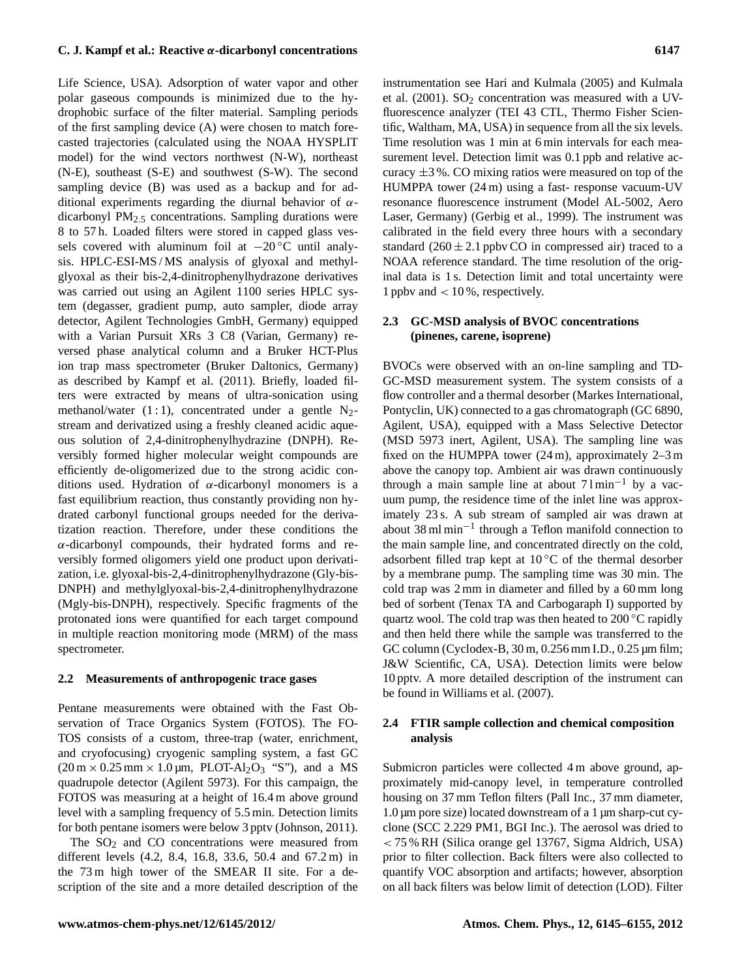Life Science, USA). Adsorption of water vapor and other polar gaseous compounds is minimized due to the hydrophobic surface of the filter material. Sampling periods of the first sampling device (A) were chosen to match forecasted trajectories (calculated using the NOAA HYSPLIT model) for the wind vectors northwest (N-W), northeast (N-E), southeast (S-E) and southwest (S-W). The second sampling device (B) was used as a backup and for additional experiments regarding the diurnal behavior of  $\alpha$ dicarbonyl  $PM<sub>2.5</sub>$  concentrations. Sampling durations were 8 to 57 h. Loaded filters were stored in capped glass vessels covered with aluminum foil at  $-20$  °C until analysis. HPLC-ESI-MS / MS analysis of glyoxal and methylglyoxal as their bis-2,4-dinitrophenylhydrazone derivatives was carried out using an Agilent 1100 series HPLC system (degasser, gradient pump, auto sampler, diode array detector, Agilent Technologies GmbH, Germany) equipped with a Varian Pursuit XRs 3 C8 (Varian, Germany) reversed phase analytical column and a Bruker HCT-Plus ion trap mass spectrometer (Bruker Daltonics, Germany) as described by Kampf et al. (2011). Briefly, loaded filters were extracted by means of ultra-sonication using methanol/water  $(1:1)$ , concentrated under a gentle N<sub>2</sub>stream and derivatized using a freshly cleaned acidic aqueous solution of 2,4-dinitrophenylhydrazine (DNPH). Reversibly formed higher molecular weight compounds are efficiently de-oligomerized due to the strong acidic conditions used. Hydration of  $\alpha$ -dicarbonyl monomers is a fast equilibrium reaction, thus constantly providing non hydrated carbonyl functional groups needed for the derivatization reaction. Therefore, under these conditions the α-dicarbonyl compounds, their hydrated forms and reversibly formed oligomers yield one product upon derivatization, i.e. glyoxal-bis-2,4-dinitrophenylhydrazone (Gly-bis-DNPH) and methylglyoxal-bis-2,4-dinitrophenylhydrazone (Mgly-bis-DNPH), respectively. Specific fragments of the protonated ions were quantified for each target compound in multiple reaction monitoring mode (MRM) of the mass spectrometer.

#### **2.2 Measurements of anthropogenic trace gases**

Pentane measurements were obtained with the Fast Observation of Trace Organics System (FOTOS). The FO-TOS consists of a custom, three-trap (water, enrichment, and cryofocusing) cryogenic sampling system, a fast GC  $(20 \text{ m} \times 0.25 \text{ mm} \times 1.0 \text{ µm}$ , PLOT-Al<sub>2</sub>O<sub>3</sub> "S"), and a MS quadrupole detector (Agilent 5973). For this campaign, the FOTOS was measuring at a height of 16.4 m above ground level with a sampling frequency of 5.5 min. Detection limits for both pentane isomers were below 3 pptv (Johnson, 2011).

The  $SO<sub>2</sub>$  and  $CO$  concentrations were measured from different levels (4.2, 8.4, 16.8, 33.6, 50.4 and 67.2 m) in the 73 m high tower of the SMEAR II site. For a description of the site and a more detailed description of the instrumentation see Hari and Kulmala (2005) and Kulmala et al.  $(2001)$ .  $SO<sub>2</sub>$  concentration was measured with a UVfluorescence analyzer (TEI 43 CTL, Thermo Fisher Scientific, Waltham, MA, USA) in sequence from all the six levels. Time resolution was 1 min at 6 min intervals for each measurement level. Detection limit was 0.1 ppb and relative accuracy  $\pm 3$ %. CO mixing ratios were measured on top of the HUMPPA tower (24 m) using a fast- response vacuum-UV resonance fluorescence instrument (Model AL-5002, Aero Laser, Germany) (Gerbig et al., 1999). The instrument was calibrated in the field every three hours with a secondary standard  $(260 \pm 2.1$  ppbv CO in compressed air) traced to a NOAA reference standard. The time resolution of the original data is 1 s. Detection limit and total uncertainty were 1 ppbv and < 10 %, respectively.

#### **2.3 GC-MSD analysis of BVOC concentrations (pinenes, carene, isoprene)**

BVOCs were observed with an on-line sampling and TD-GC-MSD measurement system. The system consists of a flow controller and a thermal desorber (Markes International, Pontyclin, UK) connected to a gas chromatograph (GC 6890, Agilent, USA), equipped with a Mass Selective Detector (MSD 5973 inert, Agilent, USA). The sampling line was fixed on the HUMPPA tower (24 m), approximately 2–3 m above the canopy top. Ambient air was drawn continuously through a main sample line at about  $71 \text{min}^{-1}$  by a vacuum pump, the residence time of the inlet line was approximately 23 s. A sub stream of sampled air was drawn at about 38 ml min−<sup>1</sup> through a Teflon manifold connection to the main sample line, and concentrated directly on the cold, adsorbent filled trap kept at  $10\degree C$  of the thermal desorber by a membrane pump. The sampling time was 30 min. The cold trap was 2 mm in diameter and filled by a 60 mm long bed of sorbent (Tenax TA and Carbogaraph I) supported by quartz wool. The cold trap was then heated to 200 °C rapidly and then held there while the sample was transferred to the GC column (Cyclodex-B, 30 m, 0.256 mm I.D., 0.25 µm film; J&W Scientific, CA, USA). Detection limits were below 10 pptv. A more detailed description of the instrument can be found in Williams et al. (2007).

## **2.4 FTIR sample collection and chemical composition analysis**

Submicron particles were collected 4 m above ground, approximately mid-canopy level, in temperature controlled housing on 37 mm Teflon filters (Pall Inc., 37 mm diameter, 1.0 µm pore size) located downstream of a 1 µm sharp-cut cyclone (SCC 2.229 PM1, BGI Inc.). The aerosol was dried to < 75 % RH (Silica orange gel 13767, Sigma Aldrich, USA) prior to filter collection. Back filters were also collected to quantify VOC absorption and artifacts; however, absorption on all back filters was below limit of detection (LOD). Filter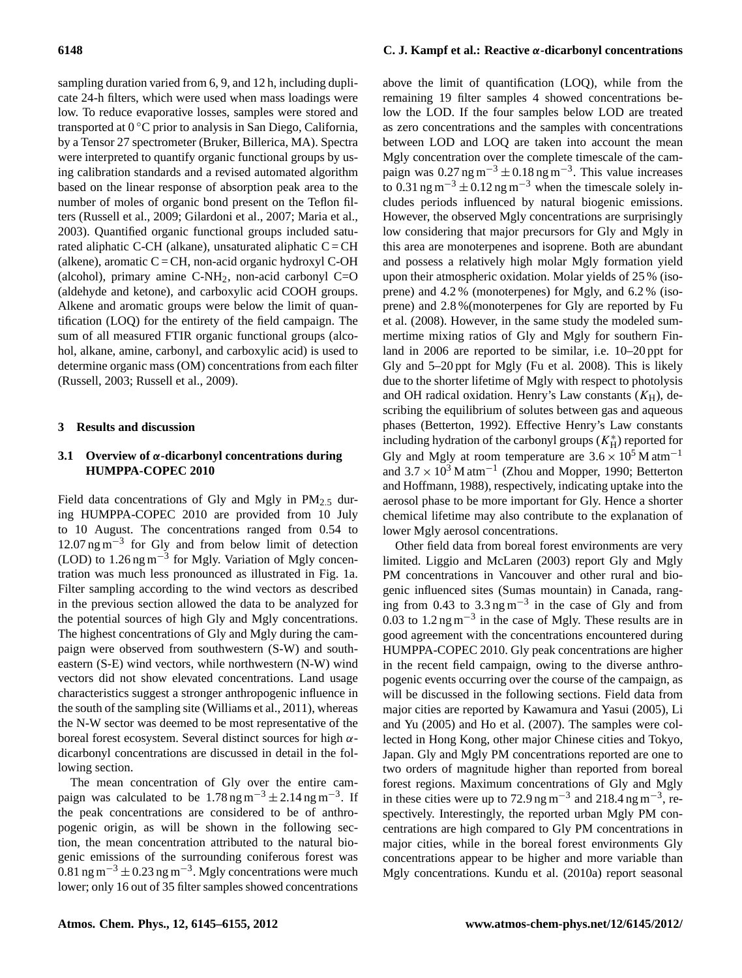sampling duration varied from 6, 9, and 12 h, including duplicate 24-h filters, which were used when mass loadings were low. To reduce evaporative losses, samples were stored and transported at 0 ◦C prior to analysis in San Diego, California, by a Tensor 27 spectrometer (Bruker, Billerica, MA). Spectra were interpreted to quantify organic functional groups by using calibration standards and a revised automated algorithm based on the linear response of absorption peak area to the number of moles of organic bond present on the Teflon filters (Russell et al., 2009; Gilardoni et al., 2007; Maria et al., 2003). Quantified organic functional groups included saturated aliphatic C-CH (alkane), unsaturated aliphatic  $C = CH$ (alkene), aromatic  $C = CH$ , non-acid organic hydroxyl C-OH (alcohol), primary amine  $C-NH<sub>2</sub>$ , non-acid carbonyl  $C=O$ (aldehyde and ketone), and carboxylic acid COOH groups. Alkene and aromatic groups were below the limit of quantification (LOQ) for the entirety of the field campaign. The sum of all measured FTIR organic functional groups (alcohol, alkane, amine, carbonyl, and carboxylic acid) is used to determine organic mass (OM) concentrations from each filter (Russell, 2003; Russell et al., 2009).

#### **3 Results and discussion**

# **3.1 Overview of** α**-dicarbonyl concentrations during HUMPPA-COPEC 2010**

Field data concentrations of Gly and Mgly in  $PM_{2.5}$  during HUMPPA-COPEC 2010 are provided from 10 July to 10 August. The concentrations ranged from 0.54 to 12.07 ng m−<sup>3</sup> for Gly and from below limit of detection (LOD) to 1.26 ng m−<sup>3</sup> for Mgly. Variation of Mgly concentration was much less pronounced as illustrated in Fig. 1a. Filter sampling according to the wind vectors as described in the previous section allowed the data to be analyzed for the potential sources of high Gly and Mgly concentrations. The highest concentrations of Gly and Mgly during the campaign were observed from southwestern (S-W) and southeastern (S-E) wind vectors, while northwestern (N-W) wind vectors did not show elevated concentrations. Land usage characteristics suggest a stronger anthropogenic influence in the south of the sampling site (Williams et al., 2011), whereas the N-W sector was deemed to be most representative of the boreal forest ecosystem. Several distinct sources for high  $\alpha$ dicarbonyl concentrations are discussed in detail in the following section.

The mean concentration of Gly over the entire campaign was calculated to be  $1.78 \text{ ng m}^{-3} \pm 2.14 \text{ ng m}^{-3}$ . If the peak concentrations are considered to be of anthropogenic origin, as will be shown in the following section, the mean concentration attributed to the natural biogenic emissions of the surrounding coniferous forest was 0.81 ng m<sup>-3</sup> ± 0.23 ng m<sup>-3</sup>. Mgly concentrations were much lower; only 16 out of 35 filter samples showed concentrations

# **6148 C. J. Kampf et al.: Reactive** α**-dicarbonyl concentrations**

above the limit of quantification (LOQ), while from the remaining 19 filter samples 4 showed concentrations below the LOD. If the four samples below LOD are treated as zero concentrations and the samples with concentrations between LOD and LOQ are taken into account the mean Mgly concentration over the complete timescale of the campaign was  $0.27$  ng m<sup>-3</sup> ± 0.18 ng m<sup>-3</sup>. This value increases to 0.31 ng m<sup>-3</sup> ± 0.12 ng m<sup>-3</sup> when the timescale solely includes periods influenced by natural biogenic emissions. However, the observed Mgly concentrations are surprisingly low considering that major precursors for Gly and Mgly in this area are monoterpenes and isoprene. Both are abundant and possess a relatively high molar Mgly formation yield upon their atmospheric oxidation. Molar yields of 25 % (isoprene) and 4.2 % (monoterpenes) for Mgly, and 6.2 % (isoprene) and 2.8 %(monoterpenes for Gly are reported by Fu et al. (2008). However, in the same study the modeled summertime mixing ratios of Gly and Mgly for southern Finland in 2006 are reported to be similar, i.e. 10–20 ppt for Gly and 5–20 ppt for Mgly (Fu et al. 2008). This is likely due to the shorter lifetime of Mgly with respect to photolysis and OH radical oxidation. Henry's Law constants  $(K_H)$ , describing the equilibrium of solutes between gas and aqueous phases (Betterton, 1992). Effective Henry's Law constants including hydration of the carbonyl groups  $(K_H^*)$  reported for Gly and Mgly at room temperature are  $3.6 \times 10^5$  M atm<sup>-1</sup> and  $3.7 \times 10^3$  M atm<sup>-1</sup> (Zhou and Mopper, 1990; Betterton and Hoffmann, 1988), respectively, indicating uptake into the aerosol phase to be more important for Gly. Hence a shorter chemical lifetime may also contribute to the explanation of lower Mgly aerosol concentrations.

Other field data from boreal forest environments are very limited. Liggio and McLaren (2003) report Gly and Mgly PM concentrations in Vancouver and other rural and biogenic influenced sites (Sumas mountain) in Canada, ranging from 0.43 to  $3.3 \text{ ng m}^{-3}$  in the case of Gly and from 0.03 to 1.2 ng  $\text{m}^{-3}$  in the case of Mgly. These results are in good agreement with the concentrations encountered during HUMPPA-COPEC 2010. Gly peak concentrations are higher in the recent field campaign, owing to the diverse anthropogenic events occurring over the course of the campaign, as will be discussed in the following sections. Field data from major cities are reported by Kawamura and Yasui (2005), Li and Yu (2005) and Ho et al. (2007). The samples were collected in Hong Kong, other major Chinese cities and Tokyo, Japan. Gly and Mgly PM concentrations reported are one to two orders of magnitude higher than reported from boreal forest regions. Maximum concentrations of Gly and Mgly in these cities were up to 72.9 ng m<sup>-3</sup> and 218.4 ng m<sup>-3</sup>, respectively. Interestingly, the reported urban Mgly PM concentrations are high compared to Gly PM concentrations in major cities, while in the boreal forest environments Gly concentrations appear to be higher and more variable than Mgly concentrations. Kundu et al. (2010a) report seasonal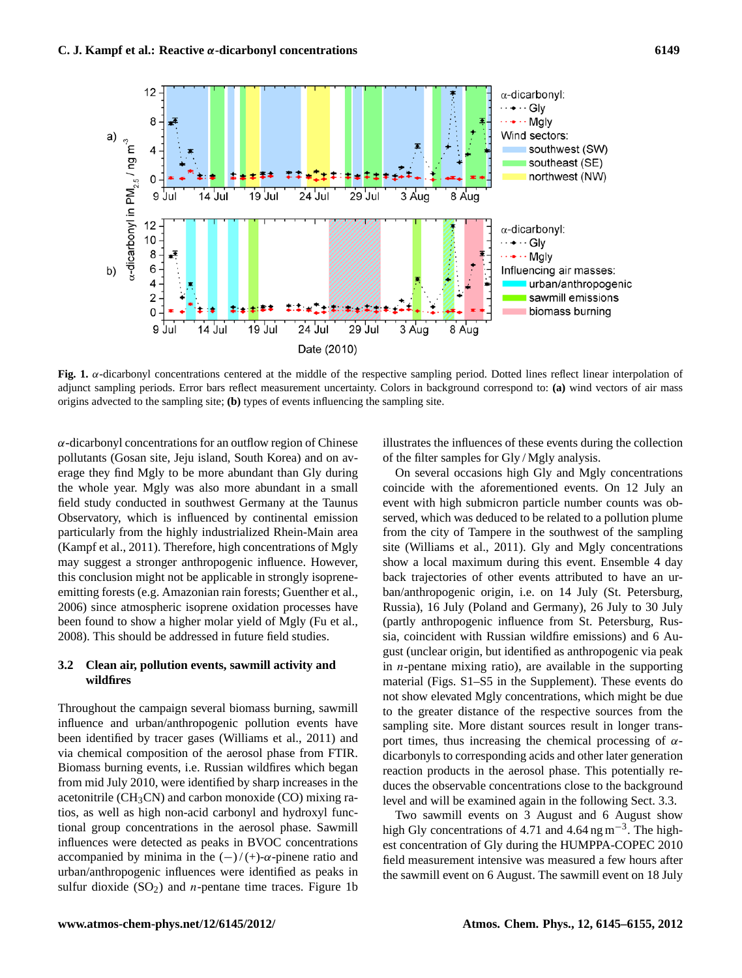

**Fig. 1.** α-dicarbonyl concentrations centered at the middle of the respective sampling period. Dotted lines reflect linear interpolation of adjunct sampling periods. Error bars reflect measurement uncertainty. Colors in background correspond to: **(a)** wind vectors of air mass origins advected to the sampling site; **(b)** types of events influencing the sampling site.

 $\alpha$ -dicarbonyl concentrations for an outflow region of Chinese pollutants (Gosan site, Jeju island, South Korea) and on average they find Mgly to be more abundant than Gly during the whole year. Mgly was also more abundant in a small field study conducted in southwest Germany at the Taunus Observatory, which is influenced by continental emission particularly from the highly industrialized Rhein-Main area (Kampf et al., 2011). Therefore, high concentrations of Mgly may suggest a stronger anthropogenic influence. However, this conclusion might not be applicable in strongly isopreneemitting forests (e.g. Amazonian rain forests; Guenther et al., 2006) since atmospheric isoprene oxidation processes have been found to show a higher molar yield of Mgly (Fu et al., 2008). This should be addressed in future field studies.

# **3.2 Clean air, pollution events, sawmill activity and wildfires**

Throughout the campaign several biomass burning, sawmill influence and urban/anthropogenic pollution events have been identified by tracer gases (Williams et al., 2011) and via chemical composition of the aerosol phase from FTIR. Biomass burning events, i.e. Russian wildfires which began from mid July 2010, were identified by sharp increases in the acetonitrile  $(CH<sub>3</sub>CN)$  and carbon monoxide  $(CO)$  mixing ratios, as well as high non-acid carbonyl and hydroxyl functional group concentrations in the aerosol phase. Sawmill influences were detected as peaks in BVOC concentrations accompanied by minima in the  $(-)/ (+)$ - $\alpha$ -pinene ratio and urban/anthropogenic influences were identified as peaks in sulfur dioxide  $(SO<sub>2</sub>)$  and *n*-pentane time traces. Figure 1b illustrates the influences of these events during the collection of the filter samples for Gly / Mgly analysis.

On several occasions high Gly and Mgly concentrations coincide with the aforementioned events. On 12 July an event with high submicron particle number counts was observed, which was deduced to be related to a pollution plume from the city of Tampere in the southwest of the sampling site (Williams et al., 2011). Gly and Mgly concentrations show a local maximum during this event. Ensemble 4 day back trajectories of other events attributed to have an urban/anthropogenic origin, i.e. on 14 July (St. Petersburg, Russia), 16 July (Poland and Germany), 26 July to 30 July (partly anthropogenic influence from St. Petersburg, Russia, coincident with Russian wildfire emissions) and 6 August (unclear origin, but identified as anthropogenic via peak in  $n$ -pentane mixing ratio), are available in the supporting material (Figs. S1–S5 in the Supplement). These events do not show elevated Mgly concentrations, which might be due to the greater distance of the respective sources from the sampling site. More distant sources result in longer transport times, thus increasing the chemical processing of  $\alpha$ dicarbonyls to corresponding acids and other later generation reaction products in the aerosol phase. This potentially reduces the observable concentrations close to the background level and will be examined again in the following Sect. 3.3.

Two sawmill events on 3 August and 6 August show high Gly concentrations of 4.71 and 4.64 ng m<sup>-3</sup>. The highest concentration of Gly during the HUMPPA-COPEC 2010 field measurement intensive was measured a few hours after the sawmill event on 6 August. The sawmill event on 18 July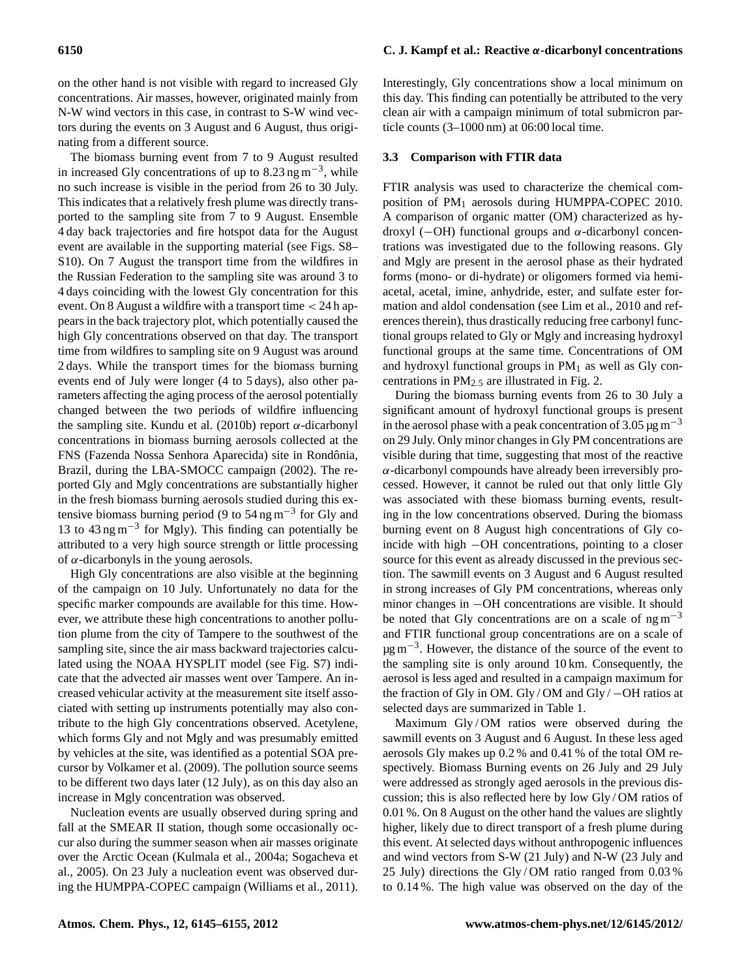on the other hand is not visible with regard to increased Gly concentrations. Air masses, however, originated mainly from N-W wind vectors in this case, in contrast to S-W wind vectors during the events on 3 August and 6 August, thus originating from a different source.

The biomass burning event from 7 to 9 August resulted in increased Gly concentrations of up to  $8.23 \text{ ng m}^{-3}$ , while no such increase is visible in the period from 26 to 30 July. This indicates that a relatively fresh plume was directly transported to the sampling site from 7 to 9 August. Ensemble 4 day back trajectories and fire hotspot data for the August event are available in the supporting material (see Figs. S8– S10). On 7 August the transport time from the wildfires in the Russian Federation to the sampling site was around 3 to 4 days coinciding with the lowest Gly concentration for this event. On 8 August a wildfire with a transport time < 24 h appears in the back trajectory plot, which potentially caused the high Gly concentrations observed on that day. The transport time from wildfires to sampling site on 9 August was around 2 days. While the transport times for the biomass burning events end of July were longer (4 to 5 days), also other parameters affecting the aging process of the aerosol potentially changed between the two periods of wildfire influencing the sampling site. Kundu et al. (2010b) report  $\alpha$ -dicarbonyl concentrations in biomass burning aerosols collected at the FNS (Fazenda Nossa Senhora Aparecida) site in Rondônia, Brazil, during the LBA-SMOCC campaign (2002). The reported Gly and Mgly concentrations are substantially higher in the fresh biomass burning aerosols studied during this extensive biomass burning period (9 to 54 ng m<sup>-3</sup> for Gly and 13 to 43 ng m−<sup>3</sup> for Mgly). This finding can potentially be attributed to a very high source strength or little processing of  $\alpha$ -dicarbonyls in the young aerosols.

High Gly concentrations are also visible at the beginning of the campaign on 10 July. Unfortunately no data for the specific marker compounds are available for this time. However, we attribute these high concentrations to another pollution plume from the city of Tampere to the southwest of the sampling site, since the air mass backward trajectories calculated using the NOAA HYSPLIT model (see Fig. S7) indicate that the advected air masses went over Tampere. An increased vehicular activity at the measurement site itself associated with setting up instruments potentially may also contribute to the high Gly concentrations observed. Acetylene, which forms Gly and not Mgly and was presumably emitted by vehicles at the site, was identified as a potential SOA precursor by Volkamer et al. (2009). The pollution source seems to be different two days later (12 July), as on this day also an increase in Mgly concentration was observed.

Nucleation events are usually observed during spring and fall at the SMEAR II station, though some occasionally occur also during the summer season when air masses originate over the Arctic Ocean (Kulmala et al., 2004a; Sogacheva et al., 2005). On 23 July a nucleation event was observed during the HUMPPA-COPEC campaign (Williams et al., 2011). Interestingly, Gly concentrations show a local minimum on this day. This finding can potentially be attributed to the very clean air with a campaign minimum of total submicron particle counts (3–1000 nm) at 06:00 local time.

#### **3.3 Comparison with FTIR data**

FTIR analysis was used to characterize the chemical composition of  $PM_1$  aerosols during HUMPPA-COPEC 2010. A comparison of organic matter (OM) characterized as hydroxyl (−OH) functional groups and α-dicarbonyl concentrations was investigated due to the following reasons. Gly and Mgly are present in the aerosol phase as their hydrated forms (mono- or di-hydrate) or oligomers formed via hemiacetal, acetal, imine, anhydride, ester, and sulfate ester formation and aldol condensation (see Lim et al., 2010 and references therein), thus drastically reducing free carbonyl functional groups related to Gly or Mgly and increasing hydroxyl functional groups at the same time. Concentrations of OM and hydroxyl functional groups in  $PM<sub>1</sub>$  as well as Gly concentrations in  $PM<sub>2.5</sub>$  are illustrated in Fig. 2.

During the biomass burning events from 26 to 30 July a significant amount of hydroxyl functional groups is present in the aerosol phase with a peak concentration of 3.05  $\mu$ g m<sup>-3</sup> on 29 July. Only minor changes in Gly PM concentrations are visible during that time, suggesting that most of the reactive α-dicarbonyl compounds have already been irreversibly processed. However, it cannot be ruled out that only little Gly was associated with these biomass burning events, resulting in the low concentrations observed. During the biomass burning event on 8 August high concentrations of Gly coincide with high −OH concentrations, pointing to a closer source for this event as already discussed in the previous section. The sawmill events on 3 August and 6 August resulted in strong increases of Gly PM concentrations, whereas only minor changes in −OH concentrations are visible. It should be noted that Gly concentrations are on a scale of  $n \text{g m}^{-3}$ and FTIR functional group concentrations are on a scale of µg m<sup>-3</sup>. However, the distance of the source of the event to the sampling site is only around 10 km. Consequently, the aerosol is less aged and resulted in a campaign maximum for the fraction of Gly in OM. Gly / OM and Gly / −OH ratios at selected days are summarized in Table 1.

Maximum Gly/OM ratios were observed during the sawmill events on 3 August and 6 August. In these less aged aerosols Gly makes up 0.2 % and 0.41 % of the total OM respectively. Biomass Burning events on 26 July and 29 July were addressed as strongly aged aerosols in the previous discussion; this is also reflected here by low Gly / OM ratios of 0.01 %. On 8 August on the other hand the values are slightly higher, likely due to direct transport of a fresh plume during this event. At selected days without anthropogenic influences and wind vectors from S-W (21 July) and N-W (23 July and 25 July) directions the Gly / OM ratio ranged from 0.03 % to 0.14 %. The high value was observed on the day of the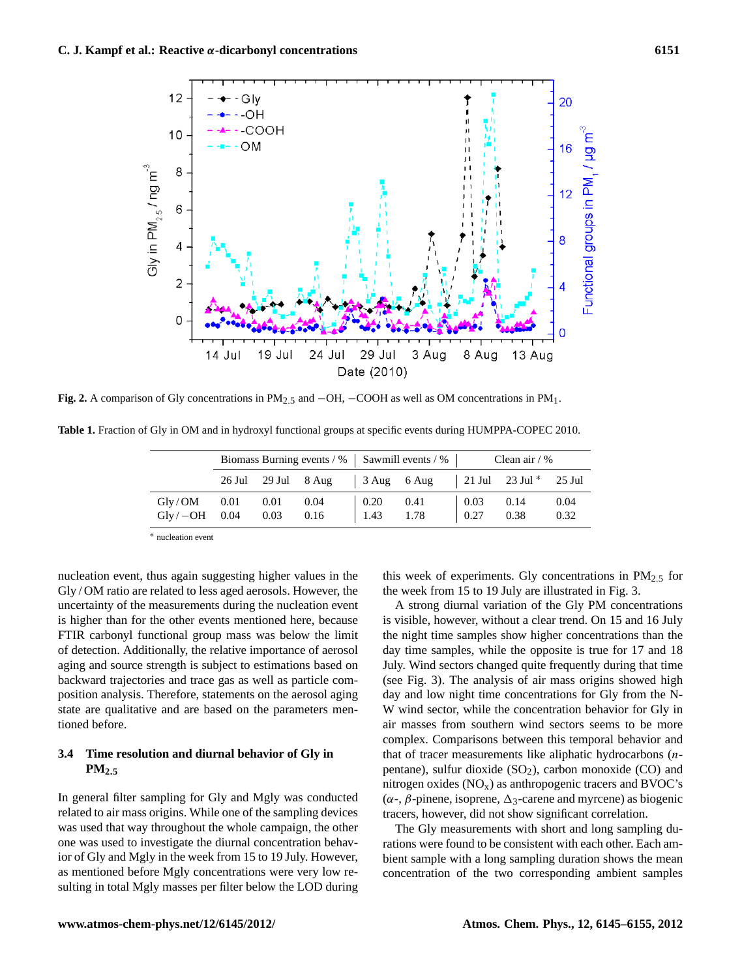

**Fig. 2.** A comparison of Gly concentrations in PM2.<sup>5</sup> and −OH, −COOH as well as OM concentrations in PM1.

**Table 1.** Fraction of Gly in OM and in hydroxyl functional groups at specific events during HUMPPA-COPEC 2010.

|                                          | Biomass Burning events / %   Sawmill events / % |  |  |                                             |                                                        | Clean air $/$ %                             |      |      |
|------------------------------------------|-------------------------------------------------|--|--|---------------------------------------------|--------------------------------------------------------|---------------------------------------------|------|------|
|                                          |                                                 |  |  |                                             | 26 Jul 29 Jul 8 Aug 3 Aug 6 Aug 21 Jul 23 Jul * 25 Jul |                                             |      |      |
| $Gly/OM$ 0.01 0.01 0.04                  |                                                 |  |  | $\begin{array}{ c} 0.20 & 0.41 \end{array}$ |                                                        | $\begin{array}{ c} 0.03 \ 0.14 \end{array}$ |      | 0.04 |
| $\text{Gly} / -\text{OH}$ 0.04 0.03 0.16 |                                                 |  |  | $1.43 \t1.78$                               |                                                        | 0.27                                        | 0.38 | 0.32 |

<sup>∗</sup> nucleation event

nucleation event, thus again suggesting higher values in the Gly / OM ratio are related to less aged aerosols. However, the uncertainty of the measurements during the nucleation event is higher than for the other events mentioned here, because FTIR carbonyl functional group mass was below the limit of detection. Additionally, the relative importance of aerosol aging and source strength is subject to estimations based on backward trajectories and trace gas as well as particle composition analysis. Therefore, statements on the aerosol aging state are qualitative and are based on the parameters mentioned before.

# **3.4 Time resolution and diurnal behavior of Gly in PM2**.**<sup>5</sup>**

In general filter sampling for Gly and Mgly was conducted related to air mass origins. While one of the sampling devices was used that way throughout the whole campaign, the other one was used to investigate the diurnal concentration behavior of Gly and Mgly in the week from 15 to 19 July. However, as mentioned before Mgly concentrations were very low resulting in total Mgly masses per filter below the LOD during this week of experiments. Gly concentrations in  $PM_{2.5}$  for the week from 15 to 19 July are illustrated in Fig. 3.

A strong diurnal variation of the Gly PM concentrations is visible, however, without a clear trend. On 15 and 16 July the night time samples show higher concentrations than the day time samples, while the opposite is true for 17 and 18 July. Wind sectors changed quite frequently during that time (see Fig. 3). The analysis of air mass origins showed high day and low night time concentrations for Gly from the N-W wind sector, while the concentration behavior for Gly in air masses from southern wind sectors seems to be more complex. Comparisons between this temporal behavior and that of tracer measurements like aliphatic hydrocarbons (npentane), sulfur dioxide  $(SO<sub>2</sub>)$ , carbon monoxide  $(CO)$  and nitrogen oxides  $(NO<sub>x</sub>)$  as anthropogenic tracers and BVOC's ( $\alpha$ -, β-pinene, isoprene,  $\Delta$ <sub>3</sub>-carene and myrcene) as biogenic tracers, however, did not show significant correlation.

The Gly measurements with short and long sampling durations were found to be consistent with each other. Each ambient sample with a long sampling duration shows the mean concentration of the two corresponding ambient samples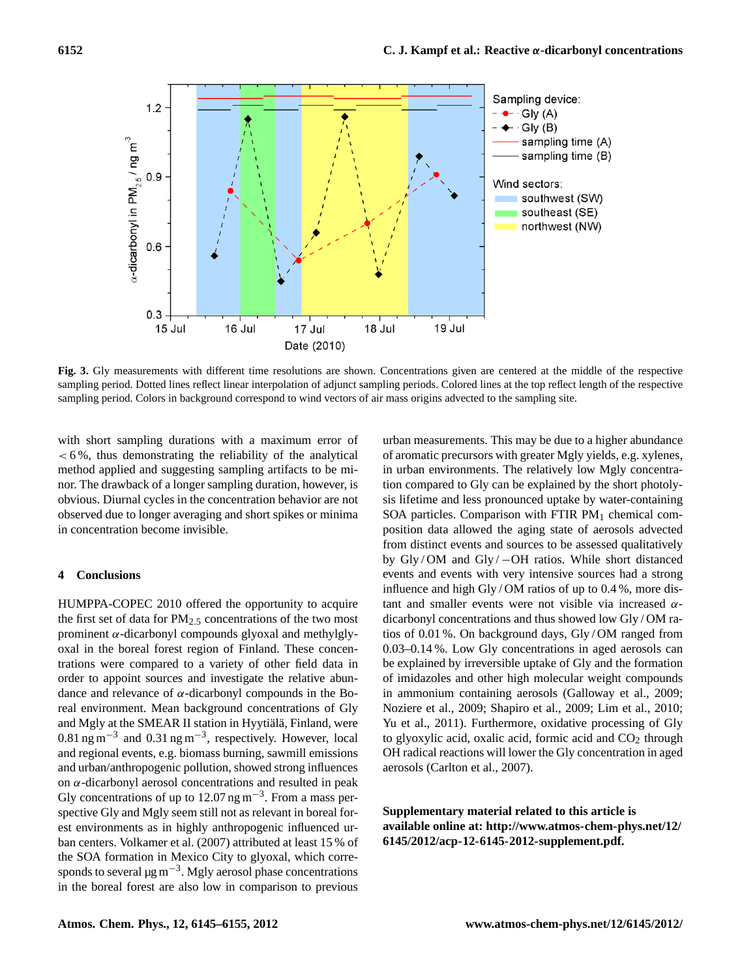

**Fig. 3.** Gly measurements with different time resolutions are shown. Concentrations given are centered at the middle of the respective sampling period. Dotted lines reflect linear interpolation of adjunct sampling periods. Colored lines at the top reflect length of the respective sampling period. Colors in background correspond to wind vectors of air mass origins advected to the sampling site.

with short sampling durations with a maximum error of  $< 6\%$ , thus demonstrating the reliability of the analytical method applied and suggesting sampling artifacts to be minor. The drawback of a longer sampling duration, however, is obvious. Diurnal cycles in the concentration behavior are not observed due to longer averaging and short spikes or minima in concentration become invisible.

# **4 Conclusions**

HUMPPA-COPEC 2010 offered the opportunity to acquire the first set of data for  $PM_{2.5}$  concentrations of the two most prominent α-dicarbonyl compounds glyoxal and methylglyoxal in the boreal forest region of Finland. These concentrations were compared to a variety of other field data in order to appoint sources and investigate the relative abundance and relevance of  $\alpha$ -dicarbonyl compounds in the Boreal environment. Mean background concentrations of Gly and Mgly at the SMEAR II station in Hyytiälä, Finland, were  $0.81$  ng m<sup>-3</sup> and  $0.31$  ng m<sup>-3</sup>, respectively. However, local and regional events, e.g. biomass burning, sawmill emissions and urban/anthropogenic pollution, showed strong influences on  $\alpha$ -dicarbonyl aerosol concentrations and resulted in peak Gly concentrations of up to 12.07 ng m<sup>-3</sup>. From a mass perspective Gly and Mgly seem still not as relevant in boreal forest environments as in highly anthropogenic influenced urban centers. Volkamer et al. (2007) attributed at least 15 % of the SOA formation in Mexico City to glyoxal, which corresponds to several  $\mu$ g m<sup>-3</sup>. Mgly aerosol phase concentrations in the boreal forest are also low in comparison to previous urban measurements. This may be due to a higher abundance of aromatic precursors with greater Mgly yields, e.g. xylenes, in urban environments. The relatively low Mgly concentration compared to Gly can be explained by the short photolysis lifetime and less pronounced uptake by water-containing SOA particles. Comparison with FTIR  $PM_1$  chemical composition data allowed the aging state of aerosols advected from distinct events and sources to be assessed qualitatively by Gly / OM and Gly / −OH ratios. While short distanced events and events with very intensive sources had a strong influence and high Gly/OM ratios of up to 0.4%, more distant and smaller events were not visible via increased  $α$ dicarbonyl concentrations and thus showed low Gly / OM ratios of 0.01 %. On background days, Gly / OM ranged from 0.03–0.14 %. Low Gly concentrations in aged aerosols can be explained by irreversible uptake of Gly and the formation of imidazoles and other high molecular weight compounds in ammonium containing aerosols (Galloway et al., 2009; Noziere et al., 2009; Shapiro et al., 2009; Lim et al., 2010; Yu et al., 2011). Furthermore, oxidative processing of Gly to glyoxylic acid, oxalic acid, formic acid and  $CO<sub>2</sub>$  through OH radical reactions will lower the Gly concentration in aged aerosols (Carlton et al., 2007).

**Supplementary material related to this article is available online at: [http://www.atmos-chem-phys.net/12/](http://www.atmos-chem-phys.net/12/6145/2012/acp-12-6145-2012-supplement.pdf) [6145/2012/acp-12-6145-2012-supplement.pdf.](http://www.atmos-chem-phys.net/12/6145/2012/acp-12-6145-2012-supplement.pdf)**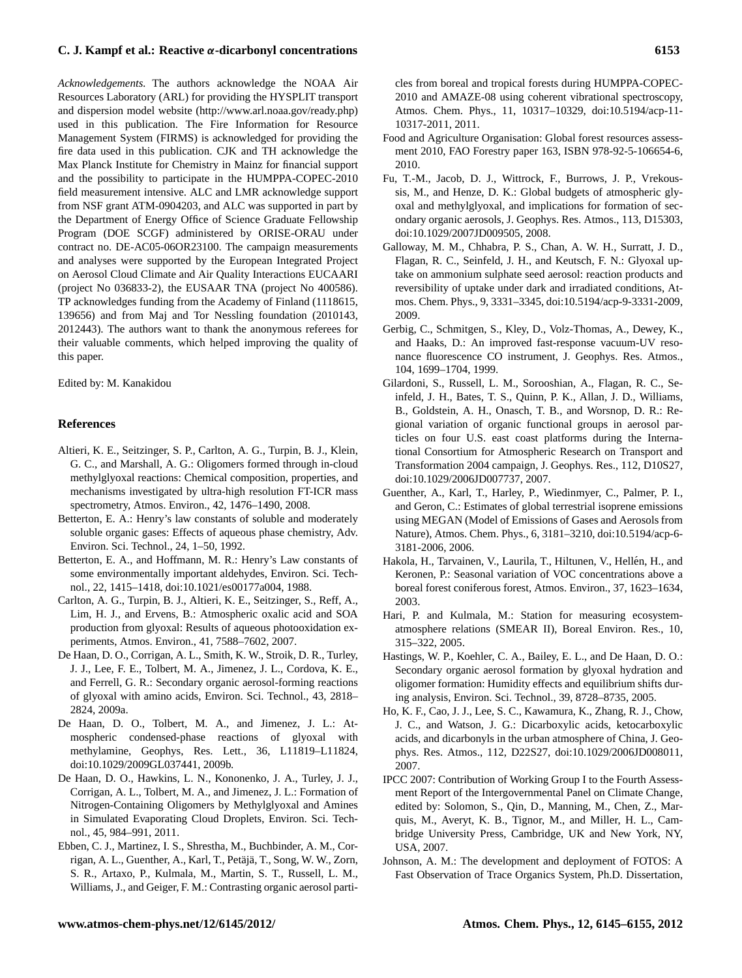*Acknowledgements.* The authors acknowledge the NOAA Air Resources Laboratory (ARL) for providing the HYSPLIT transport and dispersion model website [\(http://www.arl.noaa.gov/ready.php\)](http://www.arl.noaa.gov/ready.php) used in this publication. The Fire Information for Resource Management System (FIRMS) is acknowledged for providing the fire data used in this publication. CJK and TH acknowledge the Max Planck Institute for Chemistry in Mainz for financial support and the possibility to participate in the HUMPPA-COPEC-2010 field measurement intensive. ALC and LMR acknowledge support from NSF grant ATM-0904203, and ALC was supported in part by the Department of Energy Office of Science Graduate Fellowship Program (DOE SCGF) administered by ORISE-ORAU under contract no. DE-AC05-06OR23100. The campaign measurements and analyses were supported by the European Integrated Project on Aerosol Cloud Climate and Air Quality Interactions EUCAARI (project No 036833-2), the EUSAAR TNA (project No 400586). TP acknowledges funding from the Academy of Finland (1118615, 139656) and from Maj and Tor Nessling foundation (2010143, 2012443). The authors want to thank the anonymous referees for their valuable comments, which helped improving the quality of this paper.

Edited by: M. Kanakidou

#### **References**

- Altieri, K. E., Seitzinger, S. P., Carlton, A. G., Turpin, B. J., Klein, G. C., and Marshall, A. G.: Oligomers formed through in-cloud methylglyoxal reactions: Chemical composition, properties, and mechanisms investigated by ultra-high resolution FT-ICR mass spectrometry, Atmos. Environ., 42, 1476–1490, 2008.
- Betterton, E. A.: Henry's law constants of soluble and moderately soluble organic gases: Effects of aqueous phase chemistry, Adv. Environ. Sci. Technol., 24, 1–50, 1992.
- Betterton, E. A., and Hoffmann, M. R.: Henry's Law constants of some environmentally important aldehydes, Environ. Sci. Technol., 22, 1415–1418, [doi:10.1021/es00177a004,](http://dx.doi.org/10.1021/es00177a004) 1988.
- Carlton, A. G., Turpin, B. J., Altieri, K. E., Seitzinger, S., Reff, A., Lim, H. J., and Ervens, B.: Atmospheric oxalic acid and SOA production from glyoxal: Results of aqueous photooxidation experiments, Atmos. Environ., 41, 7588–7602, 2007.
- De Haan, D. O., Corrigan, A. L., Smith, K. W., Stroik, D. R., Turley, J. J., Lee, F. E., Tolbert, M. A., Jimenez, J. L., Cordova, K. E., and Ferrell, G. R.: Secondary organic aerosol-forming reactions of glyoxal with amino acids, Environ. Sci. Technol., 43, 2818– 2824, 2009a.
- De Haan, D. O., Tolbert, M. A., and Jimenez, J. L.: Atmospheric condensed-phase reactions of glyoxal with methylamine, Geophys, Res. Lett., 36, L11819–L11824, [doi:10.1029/2009GL037441,](http://dx.doi.org/10.1029/2009GL037441) 2009b.
- De Haan, D. O., Hawkins, L. N., Kononenko, J. A., Turley, J. J., Corrigan, A. L., Tolbert, M. A., and Jimenez, J. L.: Formation of Nitrogen-Containing Oligomers by Methylglyoxal and Amines in Simulated Evaporating Cloud Droplets, Environ. Sci. Technol., 45, 984–991, 2011.
- Ebben, C. J., Martinez, I. S., Shrestha, M., Buchbinder, A. M., Corrigan, A. L., Guenther, A., Karl, T., Petäjä, T., Song, W. W., Zorn, S. R., Artaxo, P., Kulmala, M., Martin, S. T., Russell, L. M., Williams, J., and Geiger, F. M.: Contrasting organic aerosol parti-

cles from boreal and tropical forests during HUMPPA-COPEC-2010 and AMAZE-08 using coherent vibrational spectroscopy, Atmos. Chem. Phys., 11, 10317–10329, [doi:10.5194/acp-11-](http://dx.doi.org/10.5194/acp-11-10317-2011) [10317-2011,](http://dx.doi.org/10.5194/acp-11-10317-2011) 2011.

- Food and Agriculture Organisation: Global forest resources assessment 2010, FAO Forestry paper 163, ISBN 978-92-5-106654-6, 2010.
- Fu, T.-M., Jacob, D. J., Wittrock, F., Burrows, J. P., Vrekoussis, M., and Henze, D. K.: Global budgets of atmospheric glyoxal and methylglyoxal, and implications for formation of secondary organic aerosols, J. Geophys. Res. Atmos., 113, D15303, [doi:10.1029/2007JD009505,](http://dx.doi.org/10.1029/2007JD009505) 2008.
- Galloway, M. M., Chhabra, P. S., Chan, A. W. H., Surratt, J. D., Flagan, R. C., Seinfeld, J. H., and Keutsch, F. N.: Glyoxal uptake on ammonium sulphate seed aerosol: reaction products and reversibility of uptake under dark and irradiated conditions, Atmos. Chem. Phys., 9, 3331–3345, [doi:10.5194/acp-9-3331-2009,](http://dx.doi.org/10.5194/acp-9-3331-2009) 2009.
- Gerbig, C., Schmitgen, S., Kley, D., Volz-Thomas, A., Dewey, K., and Haaks, D.: An improved fast-response vacuum-UV resonance fluorescence CO instrument, J. Geophys. Res. Atmos., 104, 1699–1704, 1999.
- Gilardoni, S., Russell, L. M., Sorooshian, A., Flagan, R. C., Seinfeld, J. H., Bates, T. S., Quinn, P. K., Allan, J. D., Williams, B., Goldstein, A. H., Onasch, T. B., and Worsnop, D. R.: Regional variation of organic functional groups in aerosol particles on four U.S. east coast platforms during the International Consortium for Atmospheric Research on Transport and Transformation 2004 campaign, J. Geophys. Res., 112, D10S27, [doi:10.1029/2006JD007737,](http://dx.doi.org/10.1029/2006JD007737) 2007.
- Guenther, A., Karl, T., Harley, P., Wiedinmyer, C., Palmer, P. I., and Geron, C.: Estimates of global terrestrial isoprene emissions using MEGAN (Model of Emissions of Gases and Aerosols from Nature), Atmos. Chem. Phys., 6, 3181–3210, [doi:10.5194/acp-6-](http://dx.doi.org/10.5194/acp-6-3181-2006) [3181-2006,](http://dx.doi.org/10.5194/acp-6-3181-2006) 2006.
- Hakola, H., Tarvainen, V., Laurila, T., Hiltunen, V., Hellén, H., and Keronen, P.: Seasonal variation of VOC concentrations above a boreal forest coniferous forest, Atmos. Environ., 37, 1623–1634, 2003.
- Hari, P. and Kulmala, M.: Station for measuring ecosystematmosphere relations (SMEAR II), Boreal Environ. Res., 10, 315–322, 2005.
- Hastings, W. P., Koehler, C. A., Bailey, E. L., and De Haan, D. O.: Secondary organic aerosol formation by glyoxal hydration and oligomer formation: Humidity effects and equilibrium shifts during analysis, Environ. Sci. Technol., 39, 8728–8735, 2005.
- Ho, K. F., Cao, J. J., Lee, S. C., Kawamura, K., Zhang, R. J., Chow, J. C., and Watson, J. G.: Dicarboxylic acids, ketocarboxylic acids, and dicarbonyls in the urban atmosphere of China, J. Geophys. Res. Atmos., 112, D22S27, [doi:10.1029/2006JD008011,](http://dx.doi.org/10.1029/2006JD008011) 2007.
- IPCC 2007: Contribution of Working Group I to the Fourth Assessment Report of the Intergovernmental Panel on Climate Change, edited by: Solomon, S., Qin, D., Manning, M., Chen, Z., Marquis, M., Averyt, K. B., Tignor, M., and Miller, H. L., Cambridge University Press, Cambridge, UK and New York, NY, USA, 2007.
- Johnson, A. M.: The development and deployment of FOTOS: A Fast Observation of Trace Organics System, Ph.D. Dissertation,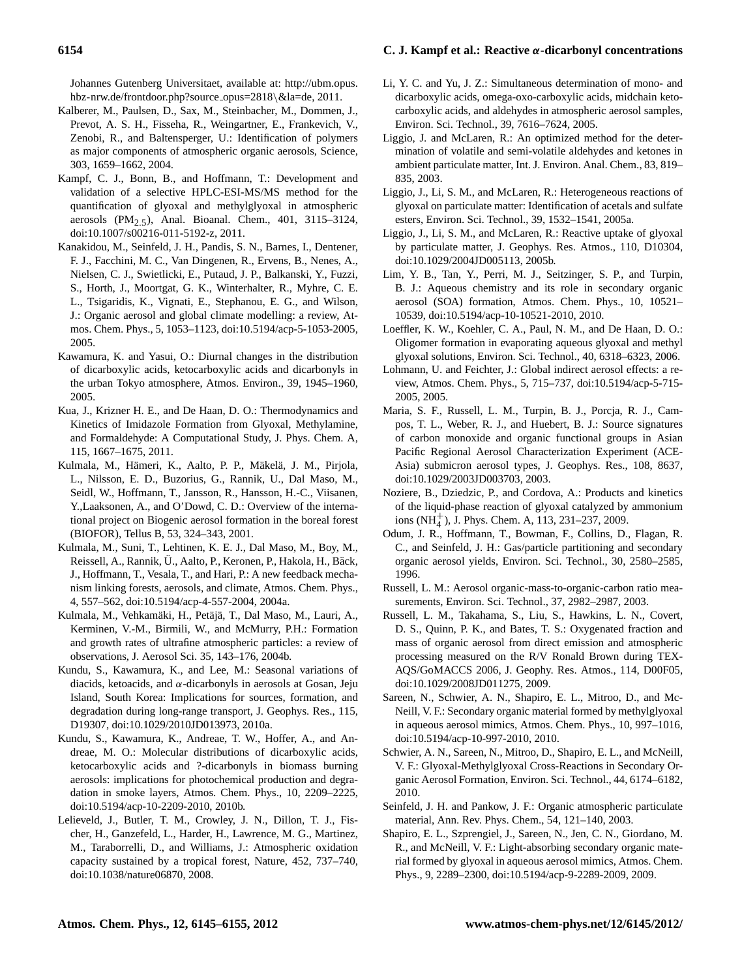Johannes Gutenberg Universitaet, available at: [http://ubm.opus.](http://ubm.opus.hbz-nrw.de/frontdoor.php?source_opus=2818&la=de) [hbz-nrw.de/frontdoor.php?source](http://ubm.opus.hbz-nrw.de/frontdoor.php?source_opus=2818&la=de)\_opus=2818\&la=de, 2011.

- Kalberer, M., Paulsen, D., Sax, M., Steinbacher, M., Dommen, J., Prevot, A. S. H., Fisseha, R., Weingartner, E., Frankevich, V., Zenobi, R., and Baltensperger, U.: Identification of polymers as major components of atmospheric organic aerosols, Science, 303, 1659–1662, 2004.
- Kampf, C. J., Bonn, B., and Hoffmann, T.: Development and validation of a selective HPLC-ESI-MS/MS method for the quantification of glyoxal and methylglyoxal in atmospheric aerosols (PM2.5), Anal. Bioanal. Chem., 401, 3115–3124, [doi:10.1007/s00216-011-5192-z,](http://dx.doi.org/10.1007/s00216-011-5192-z) 2011.
- Kanakidou, M., Seinfeld, J. H., Pandis, S. N., Barnes, I., Dentener, F. J., Facchini, M. C., Van Dingenen, R., Ervens, B., Nenes, A., Nielsen, C. J., Swietlicki, E., Putaud, J. P., Balkanski, Y., Fuzzi, S., Horth, J., Moortgat, G. K., Winterhalter, R., Myhre, C. E. L., Tsigaridis, K., Vignati, E., Stephanou, E. G., and Wilson, J.: Organic aerosol and global climate modelling: a review, Atmos. Chem. Phys., 5, 1053–1123, [doi:10.5194/acp-5-1053-2005,](http://dx.doi.org/10.5194/acp-5-1053-2005) 2005.
- Kawamura, K. and Yasui, O.: Diurnal changes in the distribution of dicarboxylic acids, ketocarboxylic acids and dicarbonyls in the urban Tokyo atmosphere, Atmos. Environ., 39, 1945–1960, 2005.
- Kua, J., Krizner H. E., and De Haan, D. O.: Thermodynamics and Kinetics of Imidazole Formation from Glyoxal, Methylamine, and Formaldehyde: A Computational Study, J. Phys. Chem. A, 115, 1667–1675, 2011.
- Kulmala, M., Hämeri, K., Aalto, P. P., Mäkelä, J. M., Pirjola, L., Nilsson, E. D., Buzorius, G., Rannik, U., Dal Maso, M., Seidl, W., Hoffmann, T., Jansson, R., Hansson, H.-C., Viisanen, Y.,Laaksonen, A., and O'Dowd, C. D.: Overview of the international project on Biogenic aerosol formation in the boreal forest (BIOFOR), Tellus B, 53, 324–343, 2001.
- Kulmala, M., Suni, T., Lehtinen, K. E. J., Dal Maso, M., Boy, M., Reissell, A., Rannik, Ü., Aalto, P., Keronen, P., Hakola, H., Bäck, J., Hoffmann, T., Vesala, T., and Hari, P.: A new feedback mechanism linking forests, aerosols, and climate, Atmos. Chem. Phys., 4, 557–562, [doi:10.5194/acp-4-557-2004,](http://dx.doi.org/10.5194/acp-4-557-2004) 2004a.
- Kulmala, M., Vehkamäki, H., Petäjä, T., Dal Maso, M., Lauri, A., Kerminen, V.-M., Birmili, W., and McMurry, P.H.: Formation and growth rates of ultrafine atmospheric particles: a review of observations, J. Aerosol Sci. 35, 143–176, 2004b.
- Kundu, S., Kawamura, K., and Lee, M.: Seasonal variations of diacids, ketoacids, and  $\alpha$ -dicarbonyls in aerosols at Gosan, Jeju Island, South Korea: Implications for sources, formation, and degradation during long-range transport, J. Geophys. Res., 115, D19307, [doi:10.1029/2010JD013973,](http://dx.doi.org/10.1029/2010JD013973) 2010a.
- Kundu, S., Kawamura, K., Andreae, T. W., Hoffer, A., and Andreae, M. O.: Molecular distributions of dicarboxylic acids, ketocarboxylic acids and ?-dicarbonyls in biomass burning aerosols: implications for photochemical production and degradation in smoke layers, Atmos. Chem. Phys., 10, 2209–2225, [doi:10.5194/acp-10-2209-2010,](http://dx.doi.org/10.5194/acp-10-2209-2010) 2010b.
- Lelieveld, J., Butler, T. M., Crowley, J. N., Dillon, T. J., Fischer, H., Ganzefeld, L., Harder, H., Lawrence, M. G., Martinez, M., Taraborrelli, D., and Williams, J.: Atmospheric oxidation capacity sustained by a tropical forest, Nature, 452, 737–740, [doi:10.1038/nature06870,](http://dx.doi.org/10.1038/nature06870) 2008.
- Li, Y. C. and Yu, J. Z.: Simultaneous determination of mono- and dicarboxylic acids, omega-oxo-carboxylic acids, midchain ketocarboxylic acids, and aldehydes in atmospheric aerosol samples, Environ. Sci. Technol., 39, 7616–7624, 2005.
- Liggio, J. and McLaren, R.: An optimized method for the determination of volatile and semi-volatile aldehydes and ketones in ambient particulate matter, Int. J. Environ. Anal. Chem., 83, 819– 835, 2003.
- Liggio, J., Li, S. M., and McLaren, R.: Heterogeneous reactions of glyoxal on particulate matter: Identification of acetals and sulfate esters, Environ. Sci. Technol., 39, 1532–1541, 2005a.
- Liggio, J., Li, S. M., and McLaren, R.: Reactive uptake of glyoxal by particulate matter, J. Geophys. Res. Atmos., 110, D10304, [doi:10.1029/2004JD005113,](http://dx.doi.org/10.1029/2004JD005113) 2005b.
- Lim, Y. B., Tan, Y., Perri, M. J., Seitzinger, S. P., and Turpin, B. J.: Aqueous chemistry and its role in secondary organic aerosol (SOA) formation, Atmos. Chem. Phys., 10, 10521– 10539, [doi:10.5194/acp-10-10521-2010,](http://dx.doi.org/10.5194/acp-10-10521-2010) 2010.
- Loeffler, K. W., Koehler, C. A., Paul, N. M., and De Haan, D. O.: Oligomer formation in evaporating aqueous glyoxal and methyl glyoxal solutions, Environ. Sci. Technol., 40, 6318–6323, 2006.
- Lohmann, U. and Feichter, J.: Global indirect aerosol effects: a review, Atmos. Chem. Phys., 5, 715–737, [doi:10.5194/acp-5-715-](http://dx.doi.org/10.5194/acp-5-715-2005) [2005,](http://dx.doi.org/10.5194/acp-5-715-2005) 2005.
- Maria, S. F., Russell, L. M., Turpin, B. J., Porcja, R. J., Campos, T. L., Weber, R. J., and Huebert, B. J.: Source signatures of carbon monoxide and organic functional groups in Asian Pacific Regional Aerosol Characterization Experiment (ACE-Asia) submicron aerosol types, J. Geophys. Res., 108, 8637, [doi:10.1029/2003JD003703,](http://dx.doi.org/10.1029/2003JD003703) 2003.
- Noziere, B., Dziedzic, P., and Cordova, A.: Products and kinetics of the liquid-phase reaction of glyoxal catalyzed by ammonium ions  $(NH_4^+)$ , J. Phys. Chem. A, 113, 231–237, 2009.
- Odum, J. R., Hoffmann, T., Bowman, F., Collins, D., Flagan, R. C., and Seinfeld, J. H.: Gas/particle partitioning and secondary organic aerosol yields, Environ. Sci. Technol., 30, 2580–2585, 1996.
- Russell, L. M.: Aerosol organic-mass-to-organic-carbon ratio measurements, Environ. Sci. Technol., 37, 2982–2987, 2003.
- Russell, L. M., Takahama, S., Liu, S., Hawkins, L. N., Covert, D. S., Quinn, P. K., and Bates, T. S.: Oxygenated fraction and mass of organic aerosol from direct emission and atmospheric processing measured on the R/V Ronald Brown during TEX-AQS/GoMACCS 2006, J. Geophy. Res. Atmos., 114, D00F05, [doi:10.1029/2008JD011275,](http://dx.doi.org/10.1029/2008JD011275) 2009.
- Sareen, N., Schwier, A. N., Shapiro, E. L., Mitroo, D., and Mc-Neill, V. F.: Secondary organic material formed by methylglyoxal in aqueous aerosol mimics, Atmos. Chem. Phys., 10, 997–1016, [doi:10.5194/acp-10-997-2010,](http://dx.doi.org/10.5194/acp-10-997-2010) 2010.
- Schwier, A. N., Sareen, N., Mitroo, D., Shapiro, E. L., and McNeill, V. F.: Glyoxal-Methylglyoxal Cross-Reactions in Secondary Organic Aerosol Formation, Environ. Sci. Technol., 44, 6174–6182, 2010.
- Seinfeld, J. H. and Pankow, J. F.: Organic atmospheric particulate material, Ann. Rev. Phys. Chem., 54, 121–140, 2003.
- Shapiro, E. L., Szprengiel, J., Sareen, N., Jen, C. N., Giordano, M. R., and McNeill, V. F.: Light-absorbing secondary organic material formed by glyoxal in aqueous aerosol mimics, Atmos. Chem. Phys., 9, 2289–2300, [doi:10.5194/acp-9-2289-2009,](http://dx.doi.org/10.5194/acp-9-2289-2009) 2009.